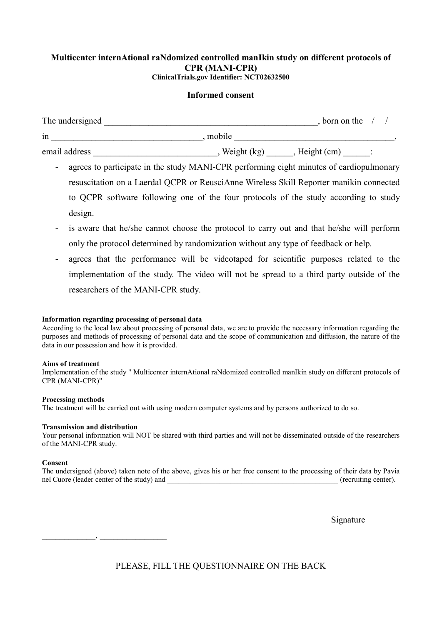# **Multicenter internAtional raNdomized controlled manIkin study on different protocols of CPR (MANI-CPR) ClinicalTrials.gov Identifier: [NCT02632500](https://clinicaltrials.gov/show/NCT02632500)**

# **Informed consent**

| The undersigned |             | , born on the |  |
|-----------------|-------------|---------------|--|
| 1n              | mobile      |               |  |
| email address   | Weight (kg) | Height (cm)   |  |

- agrees to participate in the study MANI-CPR performing eight minutes of cardiopulmonary resuscitation on a Laerdal QCPR or ReusciAnne Wireless Skill Reporter manikin connected to QCPR software following one of the four protocols of the study according to study design.
- is aware that he/she cannot choose the protocol to carry out and that he/she will perform only the protocol determined by randomization without any type of feedback or help.
- agrees that the performance will be videotaped for scientific purposes related to the implementation of the study. The video will not be spread to a third party outside of the researchers of the MANI-CPR study.

### **Information regarding processing of personal data**

According to the local law about processing of personal data, we are to provide the necessary information regarding the purposes and methods of processing of personal data and the scope of communication and diffusion, the nature of the data in our possession and how it is provided.

#### **Aims of treatment**

Implementation of the study " Multicenter internAtional raNdomized controlled manIkin study on different protocols of CPR (MANI-CPR)"

#### **Processing methods**

The treatment will be carried out with using modern computer systems and by persons authorized to do so.

#### **Transmission and distribution**

Your personal information will NOT be shared with third parties and will not be disseminated outside of the researchers of the MANI-CPR study.

#### **Consent**

The undersigned (above) taken note of the above, gives his or her free consent to the processing of their data by Pavia nel Cuore (leader center of the study) and \_\_\_\_\_\_\_\_\_\_\_\_\_\_\_\_\_\_\_\_\_\_\_\_\_\_\_\_\_\_\_\_\_\_\_\_\_\_\_\_\_\_\_\_\_\_ (recruiting center).

Signature

 $\qquad \qquad , \qquad \qquad$ 

PLEASE, FILL THE QUESTIONNAIRE ON THE BACK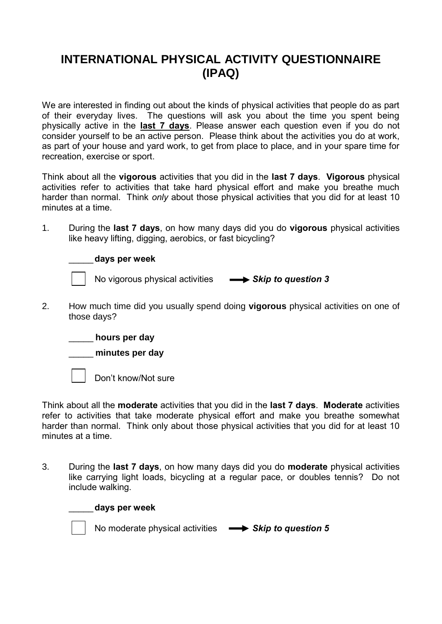# **INTERNATIONAL PHYSICAL ACTIVITY QUESTIONNAIRE (IPAQ)**

We are interested in finding out about the kinds of physical activities that people do as part of their everyday lives. The questions will ask you about the time you spent being physically active in the **last 7 days**. Please answer each question even if you do not consider yourself to be an active person. Please think about the activities you do at work, as part of your house and yard work, to get from place to place, and in your spare time for recreation, exercise or sport.

Think about all the **vigorous** activities that you did in the **last 7 days**. **Vigorous** physical activities refer to activities that take hard physical effort and make you breathe much harder than normal. Think *only* about those physical activities that you did for at least 10 minutes at a time.

1. During the **last 7 days**, on how many days did you do **vigorous** physical activities like heavy lifting, digging, aerobics, or fast bicycling?

\_\_\_\_\_**days per week**

No vigorous physical activities **-8** Skip to question 3

2. How much time did you usually spend doing **vigorous** physical activities on one of those days?

\_\_\_\_\_ **hours per day**



Don't know/Not sure

\_\_\_\_\_**days per week**

Think about all the **moderate** activities that you did in the **last 7 days**. **Moderate** activities refer to activities that take moderate physical effort and make you breathe somewhat harder than normal. Think only about those physical activities that you did for at least 10 minutes at a time.

3. During the **last 7 days**, on how many days did you do **moderate** physical activities like carrying light loads, bicycling at a regular pace, or doubles tennis? Do not include walking.

No moderate physical activities **Signal S** Skip to question 5